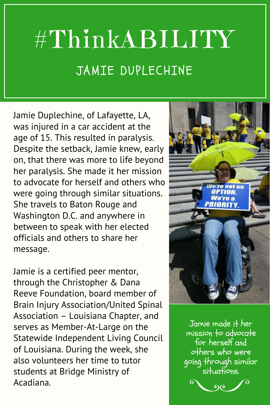## #ThinkABILITY JAMIE DUPLECHINE

Jamie Duplechine, of Lafayette, LA, was injured in a car accident at the age of 15. This resulted in paralysis. Despite the setback, Jamie knew, early on, that there was more to life beyond her paralysis. She made it her mission to advocate for herself and others who were going through similar situations. She travels to Baton Rouge and Washington D.C. and anywhere in between to speak with her elected officials and others to share her message.

Jamie is a certified peer mentor, through the Christopher & Dana Reeve Foundation, board member of Brain Injury Association/United Spinal Association – Louisiana Chapter, and serves as Member-At-Large on the Statewide Independent Living Council of Louisiana. During the week, she also volunteers her time to tutor students at Bridge Ministry of Acadiana.



Jamie made it her  $m$ ission to advocate for herself and others who were going through similar situations.